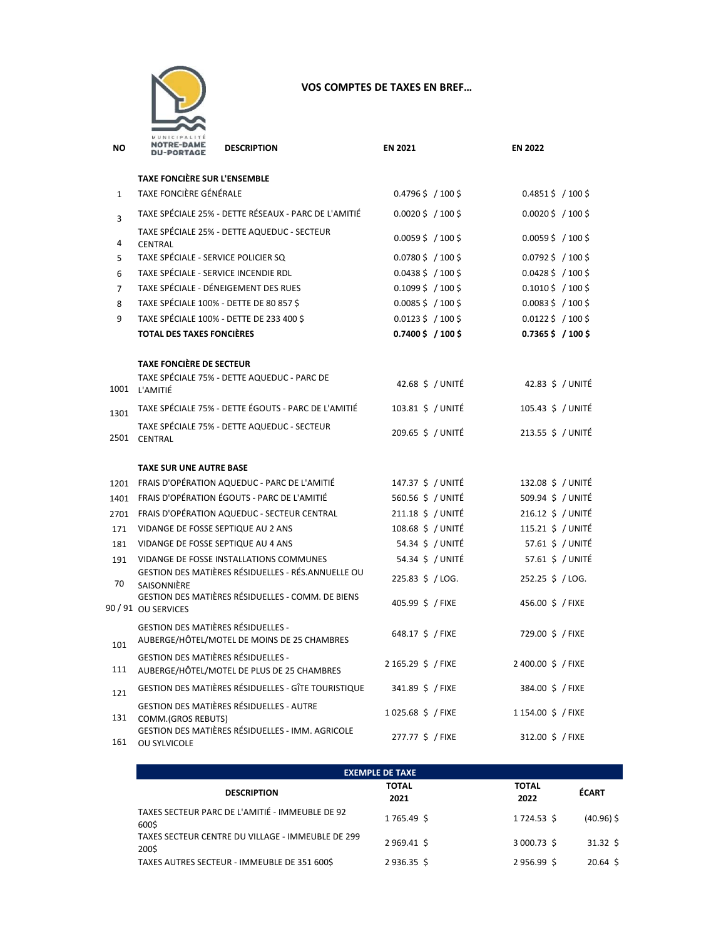

#### **VOS COMPTES DE TAXES EN BREF…**

| NO             | . <del>.</del><br><b>NOTRE-DAME</b><br><b>DESCRIPTION</b><br><b>DU-PORTAGE</b>           | <b>EN 2021</b>                 | <b>EN 2022</b>                |
|----------------|------------------------------------------------------------------------------------------|--------------------------------|-------------------------------|
|                | <b>TAXE FONCIÈRE SUR L'ENSEMBLE</b>                                                      |                                |                               |
| $\mathbf{1}$   | TAXE FONCIÈRE GÉNÉRALE                                                                   | $0.4796\frac{1}{2}$ / 100 \$   | $0.4851\frac{1}{2}$ / 100 \$  |
| 3              | TAXE SPÉCIALE 25% - DETTE RÉSEAUX - PARC DE L'AMITIÉ                                     | $0.0020\frac{1}{2}$ / 100 \$   | $0.0020\frac{1}{2}$ / 100 \$  |
| 4              | TAXE SPÉCIALE 25% - DETTE AQUEDUC - SECTEUR<br>CENTRAL                                   | $0.0059\frac{1}{2}$ / 100 \$   | $0.0059\frac{1}{2}$ / 100 \$  |
| 5              | TAXE SPÉCIALE - SERVICE POLICIER SQ                                                      | $0.0780\frac{1}{2}$ / 100 \$   | $0.0792 \div 100 \div 100$    |
| 6              | TAXE SPÉCIALE - SERVICE INCENDIE RDL                                                     | $0.0438\frac{1}{2}$ / 100 \$   | $0.0428\frac{1}{2}$ / 100 \$  |
| $\overline{7}$ | TAXE SPÉCIALE - DÉNEIGEMENT DES RUES                                                     | $0.1099\,\frac{1}{2}$ / 100 \$ | $0.1010\frac{1}{5}$ / 100 \$  |
| 8              | TAXE SPÉCIALE 100% - DETTE DE 80 857 \$                                                  | $0.0085\frac{1}{2}$ / 100 \$   | $0.0083\frac{1}{2}$ / 100 \$  |
| 9              | TAXE SPÉCIALE 100% - DETTE DE 233 400 \$                                                 | $0.0123$ \$ / 100 \$           | $0.0122 \div 100 \div 0.0122$ |
|                | <b>TOTAL DES TAXES FONCIÈRES</b>                                                         | $0.7400\frac{1}{2}$ / 100 \$   | $0.7365$ \$ / 100 \$          |
|                | <b>TAXE FONCIÈRE DE SECTEUR</b>                                                          |                                |                               |
|                | TAXE SPÉCIALE 75% - DETTE AQUEDUC - PARC DE<br>1001 L'AMITIÉ                             | 42.68 \$ / UNITÉ               | 42.83 \$ / UNITÉ              |
| 1301           | TAXE SPÉCIALE 75% - DETTE ÉGOUTS - PARC DE L'AMITIÉ                                      | 103.81 \$ / UNITÉ              | 105.43 \$ / UNITÉ             |
|                | TAXE SPÉCIALE 75% - DETTE AQUEDUC - SECTEUR<br>2501 CENTRAL                              | 209.65 \$ / UNITÉ              | 213.55 \$ / UNITÉ             |
|                | <b>TAXE SUR UNE AUTRE BASE</b>                                                           |                                |                               |
|                | 1201 FRAIS D'OPÉRATION AQUEDUC - PARC DE L'AMITIÉ                                        | 147.37 \$ / UNITÉ              | 132.08 \$ / UNITÉ             |
|                | 1401 FRAIS D'OPÉRATION ÉGOUTS - PARC DE L'AMITIÉ                                         | 560.56 \$ / UNITÉ              | 509.94 \$ / UNITÉ             |
|                | 2701 FRAIS D'OPÉRATION AQUEDUC - SECTEUR CENTRAL                                         | 211.18 \$ / UNITÉ              | 216.12 \$ / UNITÉ             |
| 171            | VIDANGE DE FOSSE SEPTIQUE AU 2 ANS                                                       | 108.68 \$ / UNITÉ              | 115.21 \$ / UNITÉ             |
| 181            | VIDANGE DE FOSSE SEPTIQUE AU 4 ANS                                                       | 54.34 \$ / UNITÉ               | 57.61 \$ / UNITÉ              |
| 191            | VIDANGE DE FOSSE INSTALLATIONS COMMUNES                                                  | 54.34 \$ / UNITÉ               | 57.61 \$ / UNITÉ              |
| 70             | GESTION DES MATIÈRES RÉSIDUELLES - RÉS.ANNUELLE OU<br>SAISONNIÈRE                        | 225.83 \$ / LOG.               | 252.25 \$ / LOG.              |
|                | GESTION DES MATIÈRES RÉSIDUELLES - COMM. DE BIENS<br>90 / 91 OU SERVICES                 | 405.99 \$ / FIXE               | 456.00 \$ / FIXE              |
| 101            | <b>GESTION DES MATIÈRES RÉSIDUELLES -</b><br>AUBERGE/HÔTEL/MOTEL DE MOINS DE 25 CHAMBRES | 648.17 \$ / FIXE               | 729.00 \$ / FIXE              |
| 111            | <b>GESTION DES MATIÈRES RÉSIDUELLES -</b><br>AUBERGE/HÔTEL/MOTEL DE PLUS DE 25 CHAMBRES  | 2 165.29 \$ / FIXE             | 2 400.00 \$ / FIXE            |
| 121            | GESTION DES MATIÈRES RÉSIDUELLES - GÎTE TOURISTIQUE                                      | 341.89 \$ / FIXE               | 384.00 \$ / FIXE              |
| 131            | <b>GESTION DES MATIÈRES RÉSIDUELLES - AUTRE</b><br>COMM.(GROS REBUTS)                    | 1025.68 \$ / FIXE              | 1 154.00 \$ / FIXE            |
| 161            | GESTION DES MATIÈRES RÉSIDUELLES - IMM. AGRICOLE<br>OU SYLVICOLE                         | 277.77 \$ / FIXE               | 312.00 \$ / FIXE              |

| <b>EXEMPLE DE TAXE</b>                                     |                      |                      |                   |
|------------------------------------------------------------|----------------------|----------------------|-------------------|
| <b>DESCRIPTION</b>                                         | <b>TOTAL</b><br>2021 | <b>TOTAL</b><br>2022 | ÉCART             |
| TAXES SECTEUR PARC DE L'AMITIÉ - IMMEUBLE DE 92<br>600\$   | 1765.49 \$           | 1724.53 \$           | $(40.96)$ \$      |
| TAXES SECTEUR CENTRE DU VILLAGE - IMMEUBLE DE 299<br>200\$ | 2969.41 \$           | 3 000.73 \$          | $31.32 \text{ }$  |
| TAXES AUTRES SECTEUR - IMMEUBLE DE 351 600\$               | 2936.35 \$           | 2956.99 \$           | $20.64 \text{ S}$ |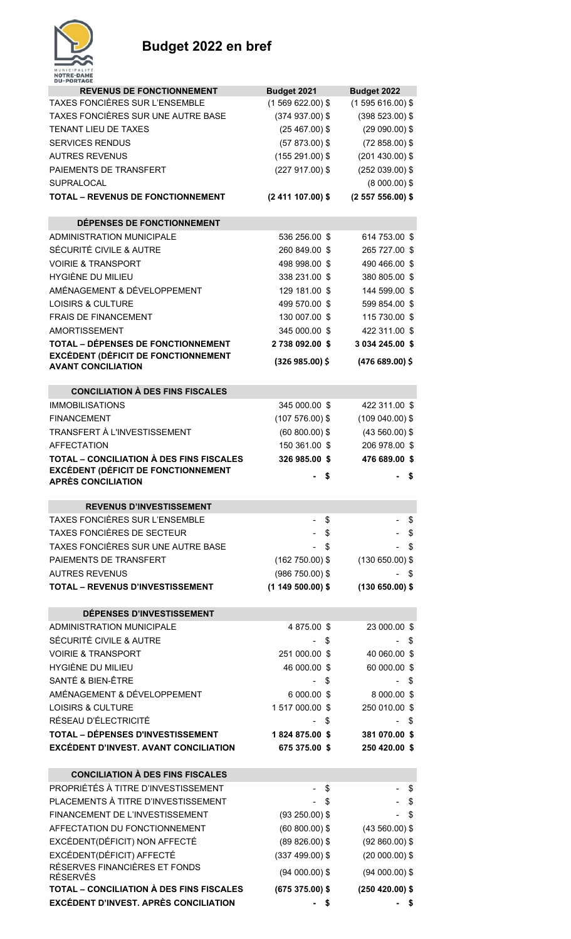

# **Budget 2022 en bref**

| <b>REVENUS DE FONCTIONNEMENT</b>                                                                | Budget 2021                        | Budget 2022       |
|-------------------------------------------------------------------------------------------------|------------------------------------|-------------------|
| TAXES FONCIÈRES SUR L'ENSEMBLE                                                                  | $(1569622.00)$ \$                  | $(1595616.00)$ \$ |
| TAXES FONCIÈRES SUR UNE AUTRE BASE                                                              | $(374937.00)$ \$                   | $(398523.00)$ \$  |
| <b>TENANT LIEU DE TAXES</b>                                                                     | $(25467.00)$ \$                    | $(29090.00)$ \$   |
| <b>SERVICES RENDUS</b>                                                                          | $(57873.00)$ \$                    | $(72858.00)$ \$   |
| <b>AUTRES REVENUS</b>                                                                           | $(155291.00)$ \$                   | $(201430.00)$ \$  |
| PAIEMENTS DE TRANSFERT                                                                          | $(227917.00)$ \$                   | $(252039.00)$ \$  |
| <b>SUPRALOCAL</b>                                                                               |                                    | $(8000.00)$ \$    |
| <b>TOTAL – REVENUS DE FONCTIONNEMENT</b>                                                        | $(2411107.00)$ \$                  | $(2557556.00)$ \$ |
|                                                                                                 |                                    |                   |
|                                                                                                 |                                    |                   |
| DÉPENSES DE FONCTIONNEMENT                                                                      |                                    |                   |
| ADMINISTRATION MUNICIPALE                                                                       | 536 256.00 \$                      | 614 753.00 \$     |
| SÉCURITÉ CIVILE & AUTRE                                                                         | 260 849.00 \$                      | 265 727.00 \$     |
| <b>VOIRIF &amp; TRANSPORT</b>                                                                   | 498 998.00 \$                      | 490 466.00 \$     |
| HYGIÈNE DU MILIEU                                                                               | 338 231.00 \$                      | 380 805.00 \$     |
| AMÉNAGEMENT & DÉVELOPPEMENT                                                                     | 129 181.00 \$                      | 144 599.00 \$     |
| LOISIRS & CULTURE                                                                               | 499 570.00 \$                      | 599 854.00 \$     |
| <b>FRAIS DE FINANCEMENT</b>                                                                     | 130 007.00 \$                      | 115 730.00 \$     |
| <b>AMORTISSEMENT</b>                                                                            | 345 000.00 \$                      | 422 311.00 \$     |
| <b>TOTAL – DÉPENSES DE FONCTIONNEMENT</b>                                                       |                                    |                   |
|                                                                                                 | 2738092.00\$                       | 3 034 245.00 \$   |
| <b>EXCÉDENT (DÉFICIT DE FONCTIONNEMENT</b><br><b>AVANT CONCILIATION</b>                         | $(326985.00)$ \$                   | $(476689.00)$ \$  |
|                                                                                                 |                                    |                   |
|                                                                                                 |                                    |                   |
| <b>CONCILIATION À DES FINS FISCALES</b>                                                         |                                    |                   |
| <b>IMMOBILISATIONS</b>                                                                          | 345 000.00 \$                      | 422 311.00 \$     |
| <b>FINANCEMENT</b>                                                                              | $(107576.00)$ \$                   | $(109040.00)$ \$  |
| TRANSFERT À L'INVESTISSEMENT                                                                    | $(60 800.00)$ \$                   | $(43560.00)$ \$   |
| <b>AFFECTATION</b>                                                                              | 150 361.00 \$                      | 206 978.00 \$     |
| <b>TOTAL – CONCILIATION À DES FINS FISCALES</b>                                                 | 326 985.00 \$                      | 476 689.00 \$     |
| <b>EXCÉDENT (DÉFICIT DE FONCTIONNEMENT</b>                                                      | S                                  | S                 |
| <b>APRÈS CONCILIATION</b>                                                                       |                                    |                   |
|                                                                                                 |                                    |                   |
|                                                                                                 |                                    |                   |
| <b>REVENUS D'INVESTISSEMENT</b>                                                                 |                                    |                   |
| <b>TAXES FONCIÈRES SUR L'ENSEMBLE</b>                                                           | \$<br>$\qquad \qquad \blacksquare$ | \$                |
| TAXES FONCIÈRES DE SECTEUR                                                                      | \$                                 | \$                |
| TAXES FONCIÈRES SUR UNE AUTRE BASE                                                              | \$                                 | \$                |
| PAIEMENTS DE TRANSFERT                                                                          |                                    |                   |
|                                                                                                 | $(162750.00)$ \$                   | $(130650.00)$ \$  |
| <b>AUTRES REVENUS</b>                                                                           | $(986 750.00)$ \$                  | S                 |
| <b>TOTAL - REVENUS D'INVESTISSEMENT</b>                                                         | $(1149500.00)$ \$                  | $(130650.00)$ \$  |
|                                                                                                 |                                    |                   |
| <b>DÉPENSES D'INVESTISSEMENT</b>                                                                |                                    |                   |
| <b>ADMINISTRATION MUNICIPALE</b>                                                                | 4 875.00 \$                        | 23 000.00 \$      |
| SÉCURITÉ CIVILE & AUTRE                                                                         | \$                                 | S                 |
| <b>VOIRIE &amp; TRANSPORT</b>                                                                   | 251 000.00 \$                      | 40 060.00 \$      |
| HYGIÈNE DU MILIEU                                                                               | 46 000.00 \$                       | 60 000.00 \$      |
| SANTÉ & BIEN-ÊTRE                                                                               | \$                                 | \$                |
| AMÉNAGEMENT & DÉVELOPPEMENT                                                                     | 6 000.00 \$                        | 8 000.00 \$       |
| <b>LOISIRS &amp; CULTURE</b>                                                                    | 1517000.00 \$                      |                   |
|                                                                                                 |                                    | 250 010.00 \$     |
| RÉSEAU D'ÉLECTRICITÉ                                                                            | \$                                 | \$                |
| <b>TOTAL - DÉPENSES D'INVESTISSEMENT</b>                                                        | 1824875.00 \$                      | 381 070.00 \$     |
| <b>EXCÉDENT D'INVEST, AVANT CONCILIATION</b>                                                    | 675 375.00 \$                      | 250 420.00 \$     |
|                                                                                                 |                                    |                   |
| <b>CONCILIATION À DES FINS FISCALES</b>                                                         |                                    |                   |
| PROPRIÉTÉS À TITRE D'INVESTISSEMENT                                                             | \$                                 | \$                |
| PLACEMENTS À TITRE D'INVESTISSEMENT                                                             | \$                                 | \$                |
| <b>FINANCEMENT DE L'INVESTISSEMENT</b>                                                          | $(93 250.00)$ \$                   | \$                |
| AFFECTATION DU FONCTIONNEMENT                                                                   | $(60 800.00)$ \$                   | $(43560.00)$ \$   |
| EXCÉDENT(DÉFICIT) NON AFFECTÉ                                                                   | $(89826.00)$ \$                    | $(92860.00)$ \$   |
| EXCÉDENT(DÉFICIT) AFFECTÉ                                                                       | $(337 499.00)$ \$                  | $(20000.00)$ \$   |
| RÉSERVES FINANCIÈRES ET FONDS                                                                   |                                    |                   |
| <b>RÉSERVÉS</b>                                                                                 | $(94000.00)$ \$                    | $(94000.00)$ \$   |
| <b>TOTAL - CONCILIATION À DES FINS FISCALES</b><br><b>EXCÉDENT D'INVEST. APRÈS CONCILIATION</b> | $(675375.00)$ \$                   | $(250 420.00)$ \$ |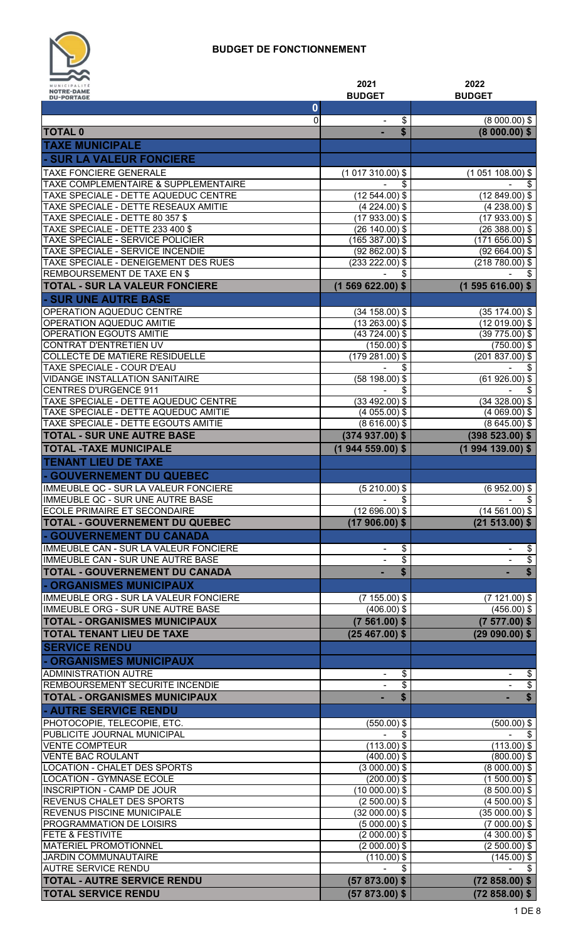

| MUNICIPALITÉ                                                                      | 2021                               | 2022                               |
|-----------------------------------------------------------------------------------|------------------------------------|------------------------------------|
| NOTRE-DAME<br><b>DU-PORTAGE</b>                                                   | <b>BUDGET</b>                      | <b>BUDGET</b>                      |
|                                                                                   | $\mathbf{0}$                       |                                    |
|                                                                                   | 0<br>\$<br>$\blacksquare$          | $(8000.00)$ \$                     |
| <b>TOTAL 0</b>                                                                    | \$                                 | $(8000.00)$ \$                     |
| <b>TAXE MUNICIPALE</b>                                                            |                                    |                                    |
| - SUR LA VALEUR FONCIERE                                                          |                                    |                                    |
| <b>TAXE FONCIERE GENERALE</b>                                                     | $(1017310.00)$ \$                  | $(1051108.00)$ \$                  |
| TAXE COMPLEMENTAIRE & SUPPLEMENTAIRE                                              | $\overline{\mathbf{S}}$            | \$                                 |
| TAXE SPECIALE - DETTE AQUEDUC CENTRE                                              | $(12544.00)$ \$                    | $(12849.00)$ \$                    |
| TAXE SPECIALE - DETTE RESEAUX AMITIE                                              | $(4224.00)$ \$                     | $(4238.00)$ \$                     |
| TAXE SPECIALE - DETTE 80 357 \$                                                   | $(17933.00)$ \$                    | $(17933.00)$ \$                    |
| TAXE SPECIALE - DETTE 233 400 \$<br>TAXE SPECIALE - SERVICE POLICIER              | $(26140.00)$ \$                    | $(26388.00)$ \$                    |
| TAXE SPECIALE - SERVICE INCENDIE                                                  | $(165387.00)\$<br>$(92862.00)$ \$  | (171 656.00) \$<br>$(92664.00)$ \$ |
| TAXE SPECIALE - DENEIGEMENT DES RUES                                              | (233 222.00) \$                    | $(218780.00)$ \$                   |
| <b>REMBOURSEMENT DE TAXE EN \$</b>                                                | \$                                 | \$                                 |
| <b>TOTAL - SUR LA VALEUR FONCIERE</b>                                             | $(1569622.00)$ \$                  | $(1595616.00)$ \$                  |
| - SUR UNE AUTRE BASE                                                              |                                    |                                    |
| OPERATION AQUEDUC CENTRE                                                          | $(34 158.00)$ \$                   | $(35 174.00)$ \$                   |
| OPERATION AQUEDUC AMITIE                                                          | $(13263.00)$ \$                    | $(12019.00)$ \$                    |
| <b>OPERATION EGOUTS AMITIE</b>                                                    | $(43724.00)$ \$                    | $(39775.00)$ \$                    |
| <b>CONTRAT D'ENTRETIEN UV</b>                                                     | $(150.00)$ \$                      | $(750.00)$ \$                      |
| <b>COLLECTE DE MATIERE RESIDUELLE</b>                                             | $(179281.00)$ \$                   | $(201 837.00)$ \$                  |
| TAXE SPECIALE - COUR D'EAU                                                        | \$                                 | \$                                 |
| <b>VIDANGE INSTALLATION SANITAIRE</b>                                             | $(58 198.00)$ \$                   | $(61926.00)$ \$                    |
| <b>CENTRES D'URGENCE 911</b>                                                      | \$                                 | \$                                 |
| TAXE SPECIALE - DETTE AQUEDUC CENTRE                                              | $(33 492.00)$ \$                   | $(34328.00)$ \$                    |
| TAXE SPECIALE - DETTE AQUEDUC AMITIE<br>TAXE SPECIALE - DETTE EGOUTS AMITIE       | $(4055.00)$ \$                     | $(4069.00)$ \$                     |
| <b>TOTAL - SUR UNE AUTRE BASE</b>                                                 | $(8616.00)$ \$<br>$(374937.00)$ \$ | $(8645.00)$ \$<br>$(398523.00)$ \$ |
| <b>TOTAL -TAXE MUNICIPALE</b>                                                     |                                    | $(1994139.00)$ \$                  |
|                                                                                   | $(1944559.00)$ \$                  |                                    |
| <b>TENANT LIEU DE TAXE</b>                                                        |                                    |                                    |
| - GOUVERNEMENT DU QUEBEC                                                          |                                    |                                    |
| IMMEUBLE QC - SUR LA VALEUR FONCIERE                                              | $(5210.00)$ \$                     | $(6952.00)$ \$                     |
| IMMEUBLE QC - SUR UNE AUTRE BASE<br><b>ECOLE PRIMAIRE ET SECONDAIRE</b>           | S.<br>$(12696.00)$ \$              | \$<br>$(14561.00)$ \$              |
| <b>TOTAL - GOUVERNEMENT DU QUEBEC</b>                                             | $(17906.00)$ \$                    | $(21513.00)$ \$                    |
|                                                                                   |                                    |                                    |
| - GOUVERNEMENT DU CANADA                                                          |                                    |                                    |
| IMMEUBLE CAN - SUR LA VALEUR FONCIERE<br><b>IMMEUBLE CAN - SUR UNE AUTRE BASE</b> | \$<br>\$                           | $\frac{1}{2}$<br>$\overline{\$}$   |
| TOTAL - GOUVERNEMENT DU CANADA                                                    | \$                                 | $\overline{\mathbf{S}}$            |
| - ORGANISMES MUNICIPAUX                                                           |                                    |                                    |
| IMMEUBLE ORG - SUR LA VALEUR FONCIERE                                             |                                    |                                    |
| IMMEUBLE ORG - SUR UNE AUTRE BASE                                                 | $(7155.00)$ \$<br>$(406.00)$ \$    | $(7121.00)$ \$<br>$(456.00)$ \$    |
| <b>TOTAL - ORGANISMES MUNICIPAUX</b>                                              | $(7561.00)$ \$                     | $(7577.00)$ \$                     |
| <b>TOTAL TENANT LIEU DE TAXE</b>                                                  | $(25467.00)$ \$                    | $(29090.00)$ \$                    |
|                                                                                   |                                    |                                    |
| <b>SERVICE RENDU</b>                                                              |                                    |                                    |
| - ORGANISMES MUNICIPAUX                                                           |                                    |                                    |
| <b>ADMINISTRATION AUTRE</b>                                                       | \$                                 | $\frac{1}{2}$                      |
| <b>REMBOURSEMENT SECURITE INCENDIE</b>                                            | \$                                 | $\,$                               |
| <b>TOTAL - ORGANISMES MUNICIPAUX</b>                                              | \$                                 | $\overline{\mathbf{S}}$            |
| - AUTRE SERVICE RENDU                                                             |                                    |                                    |
| PHOTOCOPIE, TELECOPIE, ETC.                                                       | $(550.00)$ \$                      | $(500.00)$ \$                      |
| PUBLICITE JOURNAL MUNICIPAL<br><b>VENTE COMPTEUR</b>                              | \$                                 | \$                                 |
| <b>VENTE BAC ROULANT</b>                                                          | $(113.00)$ \$<br>$(400.00)$ \$     | $(113.00)$ \$<br>$(800.00)$ \$     |
| <b>LOCATION - CHALET DES SPORTS</b>                                               | $(3000.00)$ \$                     | $(8000.00)$ \$                     |
| <b>LOCATION - GYMNASE ECOLE</b>                                                   | $(200.00)$ \$                      | $(1500.00)$ \$                     |
| <b>INSCRIPTION - CAMP DE JOUR</b>                                                 | $(10000.00)$ \$                    | $(8,500.00)$ \$                    |
| <b>REVENUS CHALET DES SPORTS</b>                                                  | $(2500.00)$ \$                     | $(4500.00)$ \$                     |
| <b>REVENUS PISCINE MUNICIPALE</b>                                                 | $(32000.00)$ \$                    | $(35000.00)$ \$                    |
| <b>PROGRAMMATION DE LOISIRS</b>                                                   | $(5000.00)$ \$                     | $(7000.00)$ \$                     |
| <b>FETE &amp; FESTIVITE</b>                                                       | $(2000.00)$ \$                     | $(4\,300.00)$ \$                   |
| <b>MATERIEL PROMOTIONNEL</b>                                                      | $(2000.00)$ \$                     | $(2,500.00)$ \$                    |
| JARDIN COMMUNAUTAIRE<br><b>AUTRE SERVICE RENDU</b>                                | $(110.00)$ \$<br>\$                | $(145.00)$ \$                      |
| <b>TOTAL - AUTRE SERVICE RENDU</b>                                                |                                    | \$                                 |
| <b>TOTAL SERVICE RENDU</b>                                                        | $(57873.00)$ \$                    | $(72858.00)$ \$                    |
|                                                                                   | $(57 873.00)$ \$                   | $(72858.00)$ \$                    |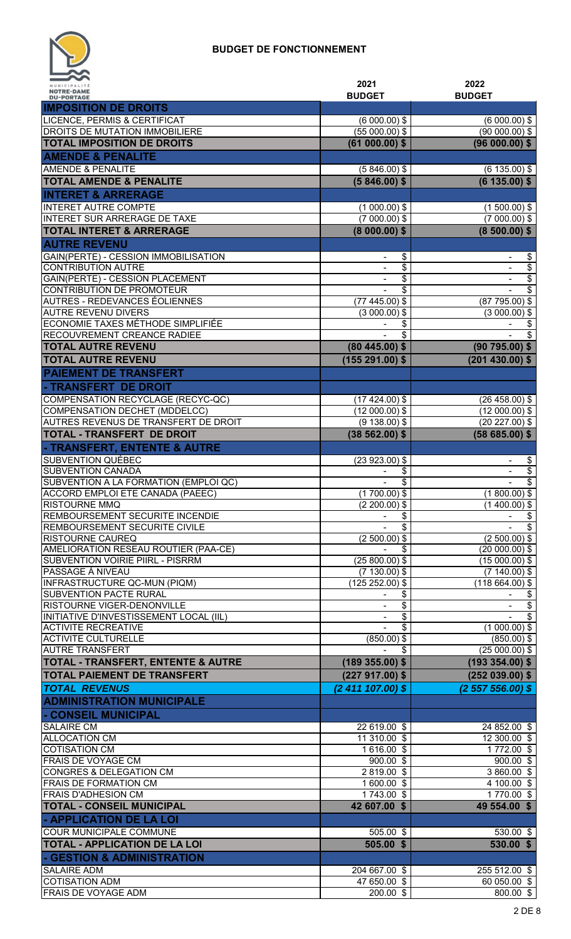

| MUNICIPALITÉ<br><b>NOTRE-DAME</b>                                        | 2021                                    | 2022                               |
|--------------------------------------------------------------------------|-----------------------------------------|------------------------------------|
| <b>DU-PORTAGE</b>                                                        | <b>BUDGET</b>                           | <b>BUDGET</b>                      |
| <b>IMPOSITION DE DROITS</b>                                              |                                         |                                    |
| LICENCE, PERMIS & CERTIFICAT                                             | $(6000.00)$ \$                          | $(6000.00)$ \$                     |
| <b>DROITS DE MUTATION IMMOBILIERE</b>                                    | $(55000.00)$ \$                         | $(90 000.00)$ \$                   |
| <b>TOTAL IMPOSITION DE DROITS</b>                                        | $(61000.00)$ \$                         | $(96000.00)$ \$                    |
| <b>AMENDE &amp; PENALITE</b>                                             |                                         |                                    |
| <b>AMENDE &amp; PENALITE</b>                                             | $(5846.00)$ \$                          | $(6135.00)$ \$                     |
| <b>TOTAL AMENDE &amp; PENALITE</b>                                       | $(5846.00)$ \$                          | $(6135.00)$ \$                     |
| <b>INTERET &amp; ARRERAGE</b>                                            |                                         |                                    |
| <b>INTERET AUTRE COMPTE</b>                                              | $(1000.00)$ \$                          | $(1500.00)$ \$                     |
| <b>INTERET SUR ARRERAGE DE TAXE</b>                                      | $(7000.00)$ \$                          | $(7000.00)$ \$                     |
| <b>TOTAL INTERET &amp; ARRERAGE</b>                                      | $(8000.00)$ \$                          | $(8, 500.00)$ \$                   |
| <b>AUTRE REVENU</b>                                                      |                                         |                                    |
| GAIN(PERTE) - CESSION IMMOBILISATION                                     | \$                                      | $\frac{1}{2}$                      |
| <b>CONTRIBUTION AUTRE</b>                                                | \$<br>$\overline{\phantom{a}}$          | $\boldsymbol{\mathsf{\$}}$         |
| <b>GAIN(PERTE) - CESSION PLACEMENT</b>                                   | \$                                      | $\overline{\$}$                    |
| <b>CONTRIBUTION DE PROMOTEUR</b>                                         | $\overline{\mathbf{3}}$                 | $\overline{\$}$                    |
| <b>AUTRES - REDEVANCES ÉOLIENNES</b>                                     | $(77445.00)$ \$                         | $(87795.00)$ \$                    |
| <b>AUTRE REVENU DIVERS</b>                                               | $(3000.00)$ \$                          | $(3000.00)$ \$                     |
| ECONOMIE TAXES MÉTHODE SIMPLIFIÉE                                        | \$                                      | \$                                 |
| <b>RECOUVREMENT CREANCE RADIEE</b>                                       | $\overline{\mathbf{s}}$<br>$\mathbf{r}$ | $\overline{\$}$                    |
| <b>TOTAL AUTRE REVENU</b>                                                | $(80445.00)$ \$                         | $(90795.00)$ \$                    |
| <b>TOTAL AUTRE REVENU</b>                                                | $(155291.00)$ \$                        | $(201430.00)$ \$                   |
| <b>PAIEMENT DE TRANSFERT</b>                                             |                                         |                                    |
| - TRANSFERT DE DROIT                                                     |                                         |                                    |
| COMPENSATION RECYCLAGE (RECYC-QC)                                        | $(17424.00)$ \$                         | $(26458.00)$ \$                    |
| <b>COMPENSATION DECHET (MDDELCC)</b>                                     | $(12000.00)$ \$                         | $(12000.00)$ \$                    |
| AUTRES REVENUS DE TRANSFERT DE DROIT                                     | $(9138.00)$ \$                          | $(20 227.00)$ \$                   |
| <b>TOTAL - TRANSFERT DE DROIT</b>                                        | $(38562.00)$ \$                         | $(58685.00)$ \$                    |
| - TRANSFERT, ENTENTE & AUTRE                                             |                                         |                                    |
| <b>SUBVENTION QUÉBEC</b>                                                 | $(23923.00)$ \$                         | $\frac{1}{2}$                      |
| <b>SUBVENTION CANADA</b>                                                 | \$                                      | $\sqrt[6]{\frac{1}{2}}$            |
| SUBVENTION A LA FORMATION (EMPLOI QC)                                    | \$                                      | $\sqrt[6]{\frac{1}{2}}$            |
| ACCORD EMPLOI ETE CANADA (PAEEC)                                         | $(1700.00)$ \$                          | $(1800.00)$ \$                     |
| <b>RISTOURNE MMQ</b>                                                     | $(2200.00)$ \$                          | $(1400.00)$ \$                     |
| REMBOURSEMENT SECURITE INCENDIE                                          | \$                                      | \$                                 |
| <b>REMBOURSEMENT SECURITE CIVILE</b>                                     | $\overline{\$}$                         | $\sqrt[6]{\frac{1}{2}}$            |
| <b>RISTOURNE CAUREQ</b>                                                  | $(2500.00)$ \$                          | $(2500.00)$ \$                     |
| AMELIORATION RESEAU ROUTIER (PAA-CE)<br>SUBVENTION VOIRIE PIIRL - PISRRM | \$<br>$(25800.00)$ \$                   | $(20000.00)$ \$<br>$(15000.00)$ \$ |
| PASSAGE À NIVEAU                                                         | $(7130.00)$ \$                          | $(7140.00)$ \$                     |
| INFRASTRUCTURE QC-MUN (PIQM)                                             | $(125 252.00)$ \$                       | $(118664.00)$ \$                   |
| <b>SUBVENTION PACTE RURAL</b>                                            | \$                                      | $\overline{\mathcal{L}}$           |
| RISTOURNE VIGER-DENONVILLE                                               | $\overline{\mathcal{E}}$                |                                    |
| INITIATIVE D'INVESTISSEMENT LOCAL (IIL)                                  | $\overline{\$}$                         | $\frac{1}{\$}$                     |
| <b>ACTIVITE RECREATIVE</b>                                               | $\overline{\$}$                         | $(1000.00)$ \$                     |
| <b>ACTIVITE CULTURELLE</b>                                               | $(850.00)$ \$                           | $(850.00)$ \$                      |
| <b>AUTRE TRANSFERT</b>                                                   | \$                                      | $(25000.00)$ \$                    |
| <b>TOTAL - TRANSFERT, ENTENTE &amp; AUTRE</b>                            | $(189355.00)$ \$                        | $(193354.00)$ \$                   |
| <b>TOTAL PAIEMENT DE TRANSFERT</b>                                       | $(227917.00)$ \$                        | $(252 039.00)$ \$                  |
| <b>TOTAL REVENUS</b>                                                     | $(2411107.00)$ \$                       | $(2557556.00)$ \$                  |
| <b>ADMINISTRATION MUNICIPALE</b>                                         |                                         |                                    |
| - CONSEIL MUNICIPAL                                                      |                                         |                                    |
| <b>SALAIRE CM</b>                                                        | 22 619.00 \$                            | 24 852.00 \$                       |
| <b>ALLOCATION CM</b>                                                     | 11 310.00 \$                            | $12300.00$ \$                      |
| <b>COTISATION CM</b>                                                     | 1616.00 \$                              | 1772.00 \$                         |
| <b>FRAIS DE VOYAGE CM</b>                                                | 900.00 \$                               | $900.00$ \$                        |
| <b>CONGRES &amp; DELEGATION CM</b>                                       | $2819.00$ \$                            | 3 860.00 \$                        |
| <b>FRAIS DE FORMATION CM</b>                                             | 1600.00 \$                              | 4 100.00 \$                        |
| <b>FRAIS D'ADHESION CM</b>                                               | 1743.00 \$                              | $1770.00$ \$                       |
| <b>TOTAL - CONSEIL MUNICIPAL</b>                                         | 42 607.00 \$                            | 49 554.00 \$                       |
| - APPLICATION DE LA LOI                                                  |                                         |                                    |
| <b>COUR MUNICIPALE COMMUNE</b>                                           | 505.00 \$                               | 530.00 \$                          |
| <b>TOTAL - APPLICATION DE LA LOI</b>                                     | 505.00 \$                               | 530.00 \$                          |
| - GESTION & ADMINISTRATION                                               |                                         |                                    |
| <b>SALAIRE ADM</b>                                                       | 204 667.00 \$                           | 255 512.00 \$                      |
| <b>COTISATION ADM</b>                                                    | 47 650.00 \$                            | $60050.00$ \$                      |
| <b>FRAIS DE VOYAGE ADM</b>                                               | 200.00 \$                               | $800.00$ \$                        |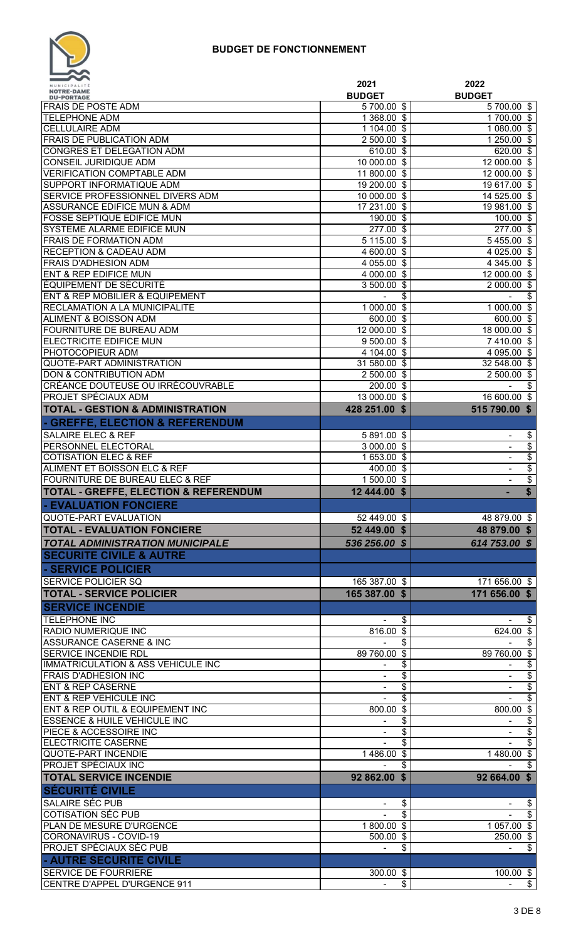

| MUNICIPALITÉ                                                                 | 2021                              | 2022                       |
|------------------------------------------------------------------------------|-----------------------------------|----------------------------|
| <b>NOTRE-DAME</b><br><b>DU-PORTAGE</b>                                       | <b>BUDGET</b>                     | <b>BUDGET</b>              |
| <b>FRAIS DE POSTE ADM</b>                                                    | 5700.00 \$                        | 5700.00 \$                 |
| <b>TELEPHONE ADM</b>                                                         | 1 368.00 \$                       | 1700.00 \$                 |
| <b>CELLULAIRE ADM</b>                                                        | $\overline{1104.00}$ \$           | 1 080.00 \$                |
| <b>FRAIS DE PUBLICATION ADM</b><br><b>CONGRES ET DELEGATION ADM</b>          | $2500.00$ \$<br>610.00 \$         | 1 250.00 \$<br>620.00 \$   |
| <b>CONSEIL JURIDIQUE ADM</b>                                                 | $10000.00$ \$                     | 12 000.00 \$               |
| <b>VERIFICATION COMPTABLE ADM</b>                                            | $11800.00$ \$                     | 12 000.00 \$               |
| SUPPORT INFORMATIQUE ADM                                                     | $\overline{19\,200.00}$ \$        | 19 617.00 \$               |
| SERVICE PROFESSIONNEL DIVERS ADM                                             | $\overline{10}000.00$ \$          | 14 525.00 \$               |
| <b>ASSURANCE EDIFICE MUN &amp; ADM</b>                                       | $\overline{17\ 231.00}$ \$        | 19 981.00 \$               |
| <b>FOSSE SEPTIQUE EDIFICE MUN</b>                                            | 190.00 \$                         | 100.00 \$                  |
| SYSTEME ALARME EDIFICE MUN                                                   | 277.00 \$                         | 277.00 \$                  |
| <b>FRAIS DE FORMATION ADM</b>                                                | $\overline{5115.00}$ \$           | 5455.00 \$                 |
| <b>RECEPTION &amp; CADEAU ADM</b>                                            | 4 600.00 \$                       | 4 0 25.00 \$               |
| <b>FRAIS D'ADHESION ADM</b>                                                  | 4 055.00 \$                       | $4345.00$ \$               |
| <b>ENT &amp; REP EDIFICE MUN</b>                                             | 4 000.00 \$                       | 12 000.00 \$               |
| ÉQUIPEMENT DE SÉCURITÉ                                                       | $\overline{3\,500.00\,3}$         | 2 000.00 \$                |
| ENT & REP MOBILIER & EQUIPEMENT                                              | \$                                | \$                         |
| RECLAMATION A LA MUNICIPALITE                                                | 1 000.00 \$                       | $1000.00$ \$               |
| <b>ALIMENT &amp; BOISSON ADM</b>                                             | 600.00 \$                         | 600.00 \$                  |
| <b>FOURNITURE DE BUREAU ADM</b>                                              | $12000.00$ \$                     | 18 000.00 \$               |
| <b>ELECTRICITE EDIFICE MUN</b>                                               | 9 500.00 \$                       | $\overline{7410.00}$ \$    |
| PHOTOCOPIEUR ADM                                                             | $\overline{4}$ 104.00 \$          | 4 095.00 \$                |
| <b>QUOTE-PART ADMINISTRATION</b>                                             | 31 580.00 \$                      | $32\,548.00$ \$            |
| <b>DON &amp; CONTRIBUTION ADM</b>                                            | 2 500.00 \$                       | $\overline{2}500.00$ \$    |
| CRÉANCE DOUTEUSE OU IRRÉCOUVRABLE                                            | 200.00 \$                         | \$                         |
| PROJET SPÉCIAUX ADM                                                          | $13000.00$ \$                     | 16 600.00 \$               |
| <b>TOTAL - GESTION &amp; ADMINISTRATION</b>                                  | 428 251.00 \$                     | 515 790.00 \$              |
| - GREFFE, ELECTION & REFERENDUM                                              |                                   |                            |
| <b>SALAIRE ELEC &amp; REF</b>                                                | 5891.00 \$                        | \$                         |
| PERSONNEL ELECTORAL                                                          | 3 000.00 \$                       | \$                         |
| <b>COTISATION ELEC &amp; REF</b>                                             | $1653.00$ \$                      | \$                         |
| ALIMENT ET BOISSON ELC & REF                                                 | 400.00 \$                         | \$                         |
| <b>FOURNITURE DE BUREAU ELEC &amp; REF</b>                                   | $1500.00$ \$                      | $\overline{\mathbf{e}}$    |
| <b>TOTAL - GREFFE, ELECTION &amp; REFERENDUM</b>                             | 12 444.00 \$                      | $\overline{\$}$            |
| - EVALUATION FONCIERE                                                        |                                   |                            |
| <b>QUOTE-PART EVALUATION</b>                                                 | 52 449.00 \$                      | 48 879.00 \$               |
| <b>TOTAL - EVALUATION FONCIERE</b>                                           | 52 449.00 \$                      | 48 879.00 \$               |
| <b>TOTAL ADMINISTRATION MUNICIPALE</b>                                       | 536 256.00 \$                     | 614 753.00 \$              |
| <b>SECURITE CIVILE &amp; AUTRE</b>                                           |                                   |                            |
| - SERVICE POLICIER                                                           |                                   |                            |
| <b>SERVICE POLICIER SQ</b>                                                   | 165 387.00 \$                     | 171 656.00 \$              |
|                                                                              |                                   |                            |
| <b>TOTAL - SERVICE POLICIER</b>                                              | 165 387.00 \$                     | 171 656.00 \$              |
| <b>SERVICE INCENDIE</b>                                                      |                                   |                            |
| <b>TELEPHONE INC</b>                                                         | \$                                | \$                         |
| RADIO NUMERIQUE INC                                                          | $816.00$ \$                       | $624.00$ \$                |
| <b>ASSURANCE CASERNE &amp; INC</b>                                           | \$                                | \$                         |
| <b>SERVICE INCENDIE RDL</b>                                                  | 89 760.00 \$                      | 89 760.00 \$               |
| <b>IMMATRICULATION &amp; ASS VEHICULE INC</b><br><b>FRAIS D'ADHESION INC</b> | \$                                | \$                         |
| <b>ENT &amp; REP CASERNE</b>                                                 | \$<br>\$                          | \$<br>\$                   |
| <b>ENT &amp; REP VEHICULE INC</b>                                            | \$                                | \$                         |
| ENT & REP OUTIL & EQUIPEMENT INC                                             | $\overline{\mathbf{e}}$<br>800.00 | 800.00 \$                  |
| <b>ESSENCE &amp; HUILE VEHICULE INC</b>                                      | \$                                | \$                         |
| PIECE & ACCESSOIRE INC                                                       | \$                                | \$                         |
| <b>ELECTRICITE CASERNE</b>                                                   | \$                                | $\overline{\$}$            |
| <b>QUOTE-PART INCENDIE</b>                                                   | 1486.00 \$                        | $1480.00$ \$               |
| PROJET SPÉCIAUX INC                                                          | \$                                | \$                         |
| <b>TOTAL SERVICE INCENDIE</b>                                                | 92 862.00 \$                      | 92 664.00 \$               |
| <b>SECURITE CIVILE</b>                                                       |                                   |                            |
| <b>SALAIRE SÉC PUB</b>                                                       | \$                                | \$                         |
| <b>COTISATION SÉC PUB</b>                                                    | \$                                | $\overline{\mathbf{s}}$    |
| PLAN DE MESURE D'URGENCE                                                     | $1800.00$ \$                      | $1057.00$ \$               |
| <b>CORONAVIRUS - COVID-19</b>                                                | 500.00 \$                         | 250.00 \$                  |
| <b>PROJET SPÉCIAUX SÉC PUB</b>                                               | \$<br>$\mathbf{r}$                | \$                         |
| - AUTRE SECURITE CIVILE                                                      |                                   |                            |
| <b>SERVICE DE FOURRIERE</b>                                                  |                                   |                            |
| CENTRE D'APPEL D'URGENCE 911                                                 | $300.00$ \$<br>\$                 | $100.00 \text{ }$ \$<br>\$ |
|                                                                              |                                   |                            |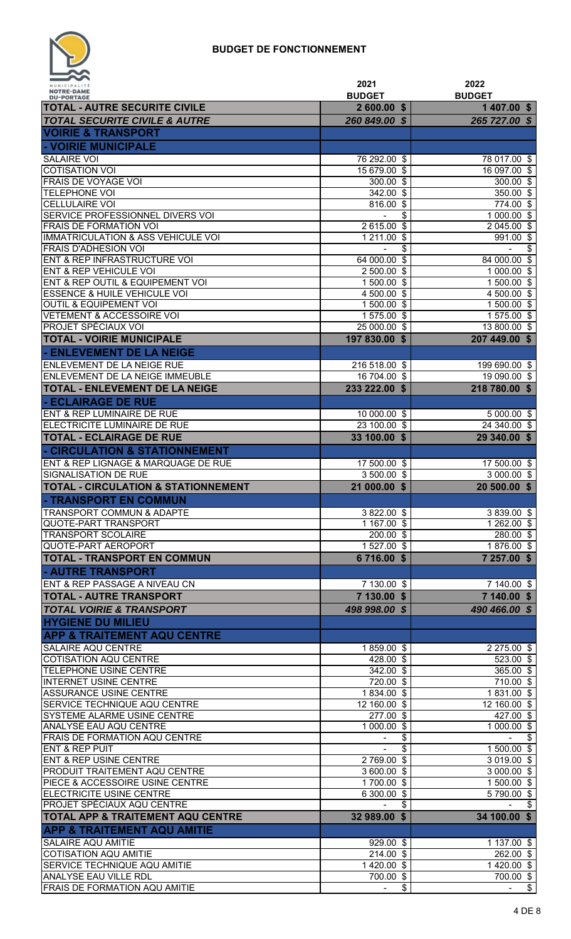

| MUNICIPALITI                                                      | 2021               | 2022               |
|-------------------------------------------------------------------|--------------------|--------------------|
| <b>NOTRE-DAME</b><br><b>DU-PORTAGE</b>                            | <b>BUDGET</b>      | <b>BUDGET</b>      |
| <b>TOTAL - AUTRE SECURITE CIVILE</b>                              | $2600.00$ \$       | 1 407.00 \$        |
| <b>TOTAL SECURITE CIVILE &amp; AUTRE</b>                          | 260 849.00 \$      | 265 727.00 \$      |
| <b>VOIRIE &amp; TRANSPORT</b>                                     |                    |                    |
|                                                                   |                    |                    |
| - VOIRIE MUNICIPALE                                               |                    |                    |
| <b>SALAIRE VOI</b>                                                | 76 292.00 \$       | 78 017.00 \$       |
| <b>COTISATION VOI</b>                                             | 15 679.00 \$       | 16 097.00 \$       |
| FRAIS DE VOYAGE VOI                                               | 300.00 \$          | $300.00$ \$        |
| <b>TELEPHONE VOI</b>                                              | 342.00 \$          | 350.00 \$          |
| <b>CELLULAIRE VOI</b>                                             | 816.00 \$          | 774.00 \$          |
| SERVICE PROFESSIONNEL DIVERS VOI                                  | \$                 | 1 000.00 \$        |
| <b>FRAIS DE FORMATION VOI</b>                                     | 2615.00 \$         | 2 045.00 \$        |
| IMMATRICULATION & ASS VEHICULE VOI<br><b>FRAIS D'ADHESION VOI</b> | 1 211.00 \$        | 991.00 \$          |
| ENT & REP INFRASTRUCTURE VOI                                      | \$<br>64 000.00 \$ | \$<br>84 000.00 \$ |
| <b>ENT &amp; REP VEHICULE VOI</b>                                 | 2 500.00 \$        | 1 000.00 \$        |
| <b>ENT &amp; REP OUTIL &amp; EQUIPEMENT VOI</b>                   | 1500.00 \$         | 1500.00 \$         |
| <b>ESSENCE &amp; HUILE VEHICULE VOI</b>                           | 4 500.00 \$        | 4 500.00 \$        |
| <b>OUTIL &amp; EQUIPEMENT VOI</b>                                 | 1500.00 \$         | 1 500.00 \$        |
| <b>VETEMENT &amp; ACCESSOIRE VOI</b>                              |                    | 1575.00 \$         |
| <b>PROJET SPÉCIAUX VOI</b>                                        | 1575.00 \$         | 13 800.00 \$       |
|                                                                   | 25 000.00 \$       |                    |
| <b>TOTAL - VOIRIE MUNICIPALE</b>                                  | 197 830.00 \$      | 207 449.00 \$      |
| <b>ENLEVEMENT DE LA NEIGE</b>                                     |                    |                    |
| <b>ENLEVEMENT DE LA NEIGE RUE</b>                                 | 216 518.00 \$      | 199 690.00 \$      |
| ENLEVEMENT DE LA NEIGE IMMEUBLE                                   | 16 704.00 \$       | 19 090.00 \$       |
| <b>TOTAL - ENLEVEMENT DE LA NEIGE</b>                             | 233 222.00 \$      | 218 780.00 \$      |
| <b>- ECLAIRAGE DE RUE</b>                                         |                    |                    |
| ENT & REP LUMINAIRE DE RUE                                        | 10 000.00 \$       | $5000.00$ \$       |
| ELECTRICITE LUMINAIRE DE RUE                                      | 23 100.00 \$       | 24 340.00 \$       |
| <b>TOTAL - ECLAIRAGE DE RUE</b>                                   | 33 100.00 \$       | 29 340.00 \$       |
| - CIRCULATION & STATIONNEMENT                                     |                    |                    |
|                                                                   |                    |                    |
| ENT & REP LIGNAGE & MARQUAGE DE RUE                               | 17 500.00 \$       | 17 500.00 \$       |
| <b>SIGNALISATION DE RUE</b>                                       | $3500.00$ \$       | 3 000.00 \$        |
| <b>TOTAL - CIRCULATION &amp; STATIONNEMENT</b>                    | 21 000.00 \$       | 20 500.00 \$       |
| - TRANSPORT EN COMMUN                                             |                    |                    |
| <b>TRANSPORT COMMUN &amp; ADAPTE</b>                              | 3822.00 \$         | 3 839.00 \$        |
| <b>QUOTE-PART TRANSPORT</b>                                       | 1 167.00 \$        | 1 262.00 \$        |
| <b>TRANSPORT SCOLAIRE</b>                                         | 200.00 \$          | 280.00 \$          |
| QUOTE-PART AEROPORT                                               | $1527.00$ \$       | 1876.00 \$         |
| <b>TOTAL - TRANSPORT EN COMMUN</b>                                | 6716.00 \$         | 7 257.00 \$        |
| - AUTRE TRANSPORT                                                 |                    |                    |
| <b>ENT &amp; REP PASSAGE A NIVEAU CN</b>                          | 7 130.00 \$        | 7 140.00 \$        |
| <b>TOTAL - AUTRE TRANSPORT</b>                                    | 7 130.00 \$        | 7 140.00 \$        |
| <b>TOTAL VOIRIE &amp; TRANSPORT</b>                               | 498 998.00 \$      | 490 466.00 \$      |
|                                                                   |                    |                    |
| <b>HYGIENE DU MILIEU</b>                                          |                    |                    |
| <b>APP &amp; TRAITEMENT AQU CENTRE</b>                            |                    |                    |
| <b>SALAIRE AQU CENTRE</b>                                         | 1859.00 \$         | 2 275.00 \$        |
| <b>COTISATION AQU CENTRE</b>                                      | 428.00 \$          | 523.00 \$          |
| <b>TELEPHONE USINE CENTRE</b>                                     | 342.00 \$          | 365.00 \$          |
| <b>INTERNET USINE CENTRE</b>                                      | 720.00 \$          | 710.00 \$          |
| <b>ASSURANCE USINE CENTRE</b>                                     | 1834.00 \$         | 1831.00 \$         |
| <b>SERVICE TECHNIQUE AQU CENTRE</b>                               | 12 160.00 \$       | 12 160.00 \$       |
| <b>SYSTEME ALARME USINE CENTRE</b>                                | 277.00 \$          | 427.00 \$          |
| ANALYSE EAU AQU CENTRE                                            | 1 000.00 \$        | 1 000.00 \$        |
| <b>FRAIS DE FORMATION AQU CENTRE</b>                              | \$                 | \$                 |
| <b>ENT &amp; REP PUIT</b>                                         | \$                 | $1500.00$ \$       |
| <b>ENT &amp; REP USINE CENTRE</b>                                 | 2769.00 \$         | 3 019.00 \$        |
| PRODUIT TRAITEMENT AQU CENTRE                                     | 3 600.00 \$        | 3 000.00 \$        |
| PIECE & ACCESSOIRE USINE CENTRE                                   | 1700.00 \$         | 1 500.00 \$        |
| <b>ELECTRICITE USINE CENTRE</b>                                   | 6 300.00 \$        | 5790.00 \$         |
| PROJET SPÉCIAUX AQU CENTRE                                        | \$                 | \$                 |
| <b>TOTAL APP &amp; TRAITEMENT AQU CENTRE</b>                      | 32 989.00 \$       | 34 100.00 \$       |
| <b>APP &amp; TRAITEMENT AQU AMITIE</b>                            |                    |                    |
| <b>SALAIRE AQU AMITIE</b>                                         | 929.00 \$          | 1 137.00 \$        |
| <b>COTISATION AQU AMITIE</b>                                      | 214.00 \$          | 262.00 \$          |
| SERVICE TECHNIQUE AQU AMITIE                                      | $1420.00$ \$       | 1420.00 \$         |
| <b>ANALYSE EAU VILLE RDL</b>                                      | 700.00 \$          | 700.00 \$          |
| <b>FRAIS DE FORMATION AQU AMITIE</b>                              | \$                 | \$                 |
|                                                                   |                    |                    |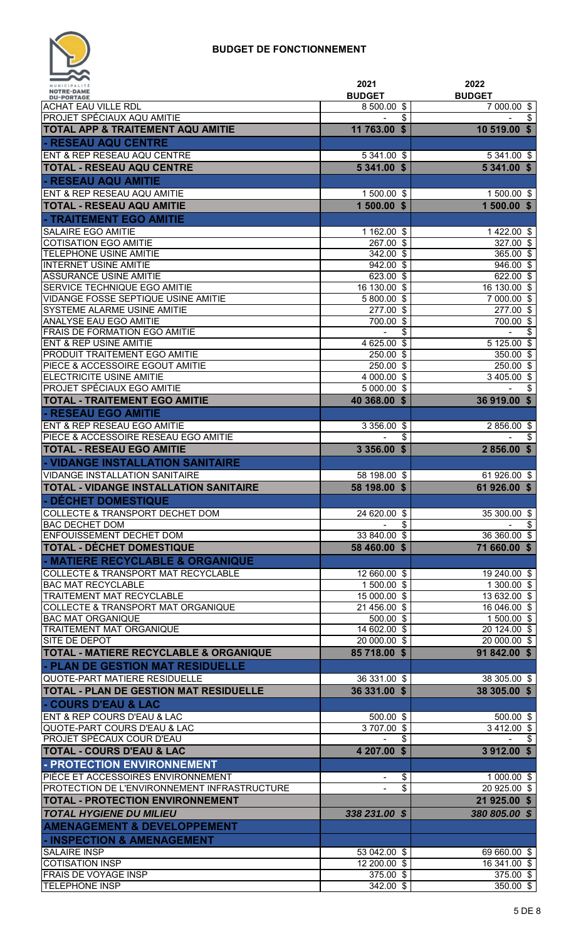

| MUNICIPALITÉ<br><b>NOTRE-DAME</b>                                                      | 2021                         | 2022                        |
|----------------------------------------------------------------------------------------|------------------------------|-----------------------------|
| <b>DU-PORTAGE</b>                                                                      | <b>BUDGET</b>                | <b>BUDGET</b>               |
| <b>ACHAT EAU VILLE RDL</b><br>PROJET SPÉCIAUX AQU AMITIE                               | 8 500.00 \$<br>\$            | 7 000.00 \$<br>\$           |
| <b>TOTAL APP &amp; TRAITEMENT AQU AMITIE</b>                                           | 11 763.00 \$                 | 10 519.00 \$                |
| - RESEAU AQU CENTRE                                                                    |                              |                             |
| ENT & REP RESEAU AQU CENTRE                                                            | 5 341.00 \$                  | 5 341.00 \$                 |
| <b>TOTAL - RESEAU AQU CENTRE</b>                                                       | 5 341.00 \$                  | 5 341.00 \$                 |
| - RESEAU AQU AMITIE                                                                    |                              |                             |
| ENT & REP RESEAU AQU AMITIE                                                            | 1 500.00 \$                  | 1 500.00 \$                 |
| <b>TOTAL - RESEAU AQU AMITIE</b>                                                       | 1 500.00 \$                  | $1500.00$ \$                |
| - TRAITEMENT EGO AMITIE                                                                |                              |                             |
| <b>SALAIRE EGO AMITIE</b>                                                              | 1 162.00 \$                  | 1422.00 \$                  |
| <b>COTISATION EGO AMITIE</b>                                                           | 267.00 \$                    | 327.00 \$                   |
| <b>TELEPHONE USINE AMITIE</b>                                                          | 342.00 \$                    | 365.00 \$                   |
| <b>INTERNET USINE AMITIE</b><br><b>ASSURANCE USINE AMITIE</b>                          | 942.00 \$<br>623.00 \$       | 946.00 \$<br>622.00 \$      |
| <b>SERVICE TECHNIQUE EGO AMITIE</b>                                                    | 16 130.00 \$                 | 16 130.00 \$                |
| <b>VIDANGE FOSSE SEPTIQUE USINE AMITIE</b>                                             | 5 800.00 \$                  | 7 000.00 \$                 |
| <b>SYSTEME ALARME USINE AMITIE</b>                                                     | 277.00 \$                    | 277.00 \$                   |
| <b>ANALYSE EAU EGO AMITIE</b>                                                          | 700.00 \$                    | 700.00 \$                   |
| <b>FRAIS DE FORMATION EGO AMITIE</b><br><b>ENT &amp; REP USINE AMITIE</b>              | \$<br>4 625.00 \$            | \$<br>5 125.00 \$           |
| PRODUIT TRAITEMENT EGO AMITIE                                                          | 250.00 \$                    | 350.00 \$                   |
| PIECE & ACCESSOIRE EGOUT AMITIE                                                        | 250.00 \$                    | 250.00 \$                   |
| ELECTRICITE USINE AMITIE                                                               | 4 000.00 \$                  | 3 405.00 \$                 |
| <b>PROJET SPÉCIAUX EGO AMITIE</b>                                                      | 5 000.00 \$                  | \$                          |
| <b>TOTAL - TRAITEMENT EGO AMITIE</b>                                                   | 40 368.00 \$                 | 36 919.00 \$                |
| - RESEAU EGO AMITIE                                                                    |                              |                             |
| <b>ENT &amp; REP RESEAU EGO AMITIE</b>                                                 | 3 3 5 6.00 \$                | 2856.00 \$                  |
| PIECE & ACCESSOIRE RESEAU EGO AMITIE                                                   | \$                           | \$                          |
| <b>TOTAL - RESEAU EGO AMITIE</b>                                                       | 3 3 5 6 0 0 \$               | $2856.00$ \$                |
| - VIDANGE INSTALLATION SANITAIRE                                                       |                              |                             |
| <b>VIDANGE INSTALLATION SANITAIRE</b><br><b>TOTAL - VIDANGE INSTALLATION SANITAIRE</b> | 58 198.00 \$<br>58 198.00 \$ | 61 926.00 \$<br>61926.00 \$ |
|                                                                                        |                              |                             |
| - DECHET DOMESTIQUE<br><b>COLLECTE &amp; TRANSPORT DECHET DOM</b>                      | 24 620.00 \$                 | $\overline{35}300.00$ \$    |
| <b>BAC DECHET DOM</b>                                                                  | \$                           | \$                          |
| <b>ENFOUISSEMENT DECHET DOM</b>                                                        | 33 840.00 \$                 | 36 360.00 \$                |
| <b>TOTAL - DÉCHET DOMESTIQUE</b>                                                       | 58 460.00 \$                 | 71 660.00 \$                |
| - MATIERE RECYCLABLE & ORGANIQUE                                                       |                              |                             |
| <b>COLLECTE &amp; TRANSPORT MAT RECYCLABLE</b>                                         | 12 660.00 \$                 | 19 240.00 \$                |
| <b>BAC MAT RECYCLABLE</b>                                                              | 1500.00 \$                   | 1 300.00 \$                 |
| <b>TRAITEMENT MAT RECYCLABLE</b>                                                       | 15 000.00 \$                 | 13 632.00 \$                |
| <b>COLLECTE &amp; TRANSPORT MAT ORGANIQUE</b><br><b>BAC MAT ORGANIQUE</b>              | 21 456.00 \$<br>500.00 \$    | 16 046.00 \$<br>1 500.00 \$ |
| <b>TRAITEMENT MAT ORGANIQUE</b>                                                        | 14 602.00 \$                 | 20 124.00 \$                |
| <b>SITE DE DEPOT</b>                                                                   | 20 000.00 \$                 | 20 000.00 \$                |
| <b>TOTAL - MATIERE RECYCLABLE &amp; ORGANIQUE</b>                                      | 85 718.00 \$                 | 91 842.00 \$                |
| - PLAN DE GESTION MAT RESIDUELLE                                                       |                              |                             |
| <b>QUOTE-PART MATIERE RESIDUELLE</b>                                                   | 36 331.00 \$                 | 38 305.00 \$                |
| <b>TOTAL - PLAN DE GESTION MAT RESIDUELLE</b>                                          | 36 331.00 \$                 | 38 305.00 \$                |
| - COURS D'EAU & LAC                                                                    |                              |                             |
| ENT & REP COURS D'EAU & LAC                                                            | 500.00 \$                    | $500.00$ \$                 |
| <b>QUOTE-PART COURS D'EAU &amp; LAC</b>                                                | 3707.00 \$                   | 3412.00 \$                  |
| PROJET SPÉCAUX COUR D'EAU                                                              | \$<br>4 207.00 \$            | \$                          |
| <b>TOTAL - COURS D'EAU &amp; LAC</b>                                                   |                              | 3912.00 \$                  |
| - PROTECTION ENVIRONNEMENT<br>PIÈCE ET ACCESSOIRES ENVIRONNEMENT                       |                              | $1000.00$ \$                |
| PROTECTION DE L'ENVIRONNEMENT INFRASTRUCTURE                                           | \$<br>$\overline{\$}$        | 20 925.00 \$                |
| <b>TOTAL - PROTECTION ENVIRONNEMENT</b>                                                |                              | 21925.00 \$                 |
| <b>TOTAL HYGIENE DU MILIEU</b>                                                         | 338 231.00 \$                | 380 805.00 \$               |
| <b>AMENAGEMENT &amp; DEVELOPPEMENT</b>                                                 |                              |                             |
| - INSPECTION & AMENAGEMENT                                                             |                              |                             |
| <b>SALAIRE INSP</b>                                                                    | 53 042.00 \$                 | 69 660.00 \$                |
| <b>COTISATION INSP</b>                                                                 | 12 200.00 \$                 | 16 341.00 \$                |
| <b>FRAIS DE VOYAGE INSP</b>                                                            | 375.00 \$                    | 375.00 \$                   |
| <b>TELEPHONE INSP</b>                                                                  | 342.00 \$                    | 350.00 \$                   |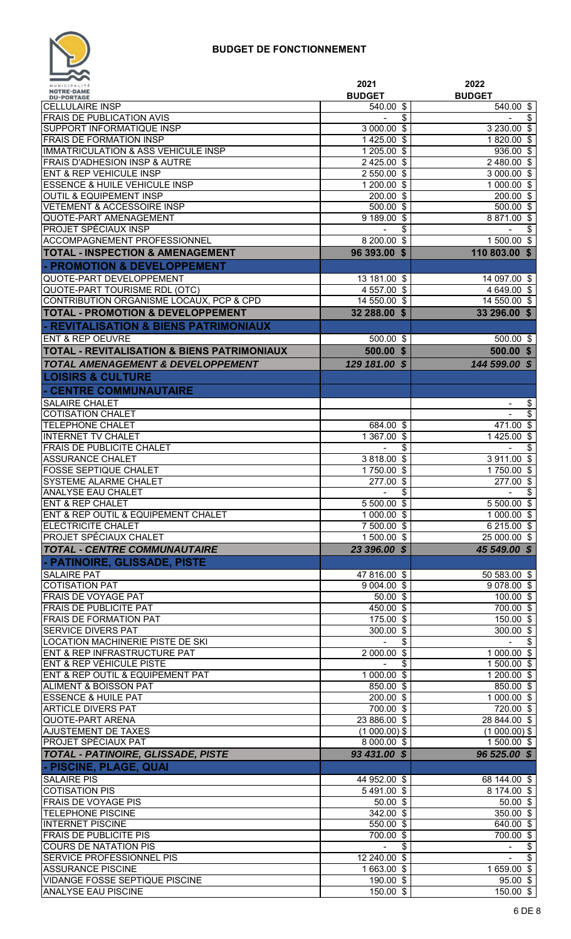

| MUNICIPALITÉ<br><b>NOTRE-DAME</b>                      | 2021                                  | 2022                           |
|--------------------------------------------------------|---------------------------------------|--------------------------------|
| <b>DU-PORTAGE</b>                                      | <b>BUDGET</b>                         | <b>BUDGET</b>                  |
| <b>CELLULAIRE INSP</b>                                 | 540.00 \$                             | 540.00 \$                      |
| <b>FRAIS DE PUBLICATION AVIS</b>                       | \$                                    | \$                             |
| SUPPORT INFORMATIQUE INSP                              | $\boldsymbol{\mathsf{S}}$<br>3 000.00 | $3230.00$ \$                   |
| <b>FRAIS DE FORMATION INSP</b>                         | 1425.00 \$                            | 1820.00 \$                     |
| IMMATRICULATION & ASS VEHICULE INSP                    | 1 205.00 \$                           | 936.00 \$                      |
| <b>FRAIS D'ADHESION INSP &amp; AUTRE</b>               | 2425.00 \$                            | 2 480.00 \$                    |
| <b>ENT &amp; REP VEHICULE INSP</b>                     | 2 550.00 \$                           | 3 000.00 \$                    |
| <b>ESSENCE &amp; HUILE VEHICULE INSP</b>               | 1 200.00 \$                           | 1 000.00 \$                    |
| <b>OUTIL &amp; EQUIPEMENT INSP</b>                     | 200.00 \$                             | 200.00 \$                      |
| <b>VETEMENT &amp; ACCESSOIRE INSP</b>                  | 500.00 \$                             | 500.00 \$                      |
| <b>QUOTE-PART AMENAGEMENT</b>                          | 9 189.00 \$                           | 8871.00 \$                     |
| <b>PROJET SPÉCIAUX INSP</b>                            | \$                                    | \$                             |
| <b>ACCOMPAGNEMENT PROFESSIONNEL</b>                    | 8 200.00 \$                           | $1500.00$ \$                   |
| <b>TOTAL - INSPECTION &amp; AMENAGEMENT</b>            | 96 393.00 \$                          | 110 803.00 \$                  |
| - PROMOTION & DEVELOPPEMENT                            |                                       |                                |
| <b>QUOTE-PART DEVELOPPEMENT</b>                        | 13 181.00 \$                          | 14 097.00 \$                   |
| QUOTE-PART TOURISME RDL (OTC)                          | 4 557.00 \$                           | 4 649.00 \$                    |
| CONTRIBUTION ORGANISME LOCAUX, PCP & CPD               | 14 550.00 \$                          | 14 550.00 \$                   |
|                                                        | 32 288.00 \$                          |                                |
| <b>TOTAL - PROMOTION &amp; DEVELOPPEMENT</b>           |                                       | 33 296.00 \$                   |
| - REVITALISATION & BIENS PATRIMONIAUX                  |                                       |                                |
| <b>ENT &amp; REP OEUVRE</b>                            | 500.00 \$                             | $500.00$ \$                    |
| <b>TOTAL - REVITALISATION &amp; BIENS PATRIMONIAUX</b> | 500.00 \$                             | 500.00 \$                      |
| <b>TOTAL AMENAGEMENT &amp; DEVELOPPEMENT</b>           | 129 181.00 \$                         | 144 599.00 \$                  |
| <b>LOISIRS &amp; CULTURE</b>                           |                                       |                                |
| - CENTRE COMMUNAUTAIRE                                 |                                       |                                |
|                                                        |                                       |                                |
| <b>SALAIRE CHALET</b><br><b>COTISATION CHALET</b>      |                                       | \$                             |
|                                                        |                                       | \$                             |
| <b>TELEPHONE CHALET</b>                                | 684.00 \$                             | $471.00$ \$                    |
| <b>INTERNET TV CHALET</b>                              | 1 367.00 \$                           | 1425.00 \$                     |
| <b>FRAIS DE PUBLICITE CHALET</b>                       | \$                                    | \$                             |
| <b>ASSURANCE CHALET</b>                                | 3818.00 \$                            | $3911.00$ \$                   |
| <b>FOSSE SEPTIQUE CHALET</b>                           | 1750.00 \$                            | 1750.00 \$                     |
| <b>SYSTEME ALARME CHALET</b>                           | 277.00 \$                             | 277.00 \$                      |
| <b>ANALYSE EAU CHALET</b>                              | \$<br>$\overline{\phantom{a}}$        | \$<br>$\overline{\phantom{a}}$ |
| <b>ENT &amp; REP CHALET</b>                            | 5 500.00 \$                           | 5 500.00 \$                    |
| <b>ENT &amp; REP OUTIL &amp; EQUIPEMENT CHALET</b>     | 1 000.00 \$                           | 1 000.00 \$                    |
| <b>ELECTRICITE CHALET</b>                              | 7 500.00 \$                           | 6 215.00 \$                    |
| <b>PROJET SPÉCIAUX CHALET</b>                          | 1 500.00 \$                           | 25 000.00 \$                   |
| <b>TOTAL - CENTRE COMMUNAUTAIRE</b>                    | 23 396,00 \$                          | 45 549.00 \$                   |
| - PATINOIRE, GLISSADE, PISTE                           |                                       |                                |
| <b>SALAIRE PAT</b>                                     | 47 816.00 \$                          | 50 583.00 \$                   |
| <b>COTISATION PAT</b>                                  | 9 004.00 \$                           | 9078.00 \$                     |
| <b>FRAIS DE VOYAGE PAT</b>                             | $50.00$ \$                            | 100.00 \$                      |
| <b>FRAIS DE PUBLICITE PAT</b>                          | 450.00 \$                             | 700.00 \$                      |
| <b>FRAIS DE FORMATION PAT</b>                          | 175.00 \$                             | $\overline{150.00}$ \$         |
| <b>SERVICE DIVERS PAT</b>                              | 300.00 \$                             | 300.00 \$                      |
| <b>LOCATION MACHINERIE PISTE DE SKI</b>                | \$                                    | \$                             |
| <b>ENT &amp; REP INFRASTRUCTURE PAT</b>                | 2 000.00 \$                           | 1 000.00 \$                    |
| <b>ENT &amp; REP VÉHICULE PISTE</b>                    | \$                                    | 1 500.00 \$                    |
| ENT & REP OUTIL & EQUIPEMENT PAT                       | 1 000.00 \$                           | 1 200.00 \$                    |
| ALIMENT & BOISSON PAT                                  | 850.00 \$                             | 850.00 \$                      |
| <b>ESSENCE &amp; HUILE PAT</b>                         | 200.00 \$                             | 1 000.00 \$                    |
| <b>ARTICLE DIVERS PAT</b>                              | 700.00 \$                             | 720.00 \$                      |
| QUOTE-PART ARENA                                       | 23 886.00 \$                          | 28 844.00 \$                   |
| <b>AJUSTEMENT DE TAXES</b>                             | $(1000.00)$ \$                        | $(1000.00)$ \$                 |
| PROJET SPÉCIAUX PAT                                    | 8 000.00 \$                           | 1 500.00 \$                    |
| TOTAL - PATINOIRE, GLISSADE, PISTE                     | 93 431.00 \$                          | 96 525.00 \$                   |
| - PISCINE, PLAGE, QUAI                                 |                                       |                                |
| <b>SALAIRE PIS</b>                                     | 44 952.00 \$                          | 68 144.00 \$                   |
| <b>COTISATION PIS</b>                                  | 5491.00 \$                            | 8 174.00 \$                    |
| <b>FRAIS DE VOYAGE PIS</b>                             | $50.00$ \$                            | $50.00$ \$                     |
| <b>TELEPHONE PISCINE</b>                               | 342.00 \$                             | 350.00 \$                      |
| <b>INTERNET PISCINE</b>                                | 550.00 \$                             | 640.00 \$                      |
| <b>FRAIS DE PUBLICITE PIS</b>                          | 700.00 \$                             | 700.00 \$                      |
| <b>COURS DE NATATION PIS</b>                           | \$                                    | \$                             |
| <b>SERVICE PROFESSIONNEL PIS</b>                       | 12 240.00 \$                          | $\overline{\$}$                |
| <b>ASSURANCE PISCINE</b>                               | 1663.00 \$                            | $1659.00$ \$                   |
| <b>VIDANGE FOSSE SEPTIQUE PISCINE</b>                  | 190.00 \$                             | $95.00$ \$                     |
| <b>ANALYSE EAU PISCINE</b>                             | 150.00 \$                             | 150.00 \$                      |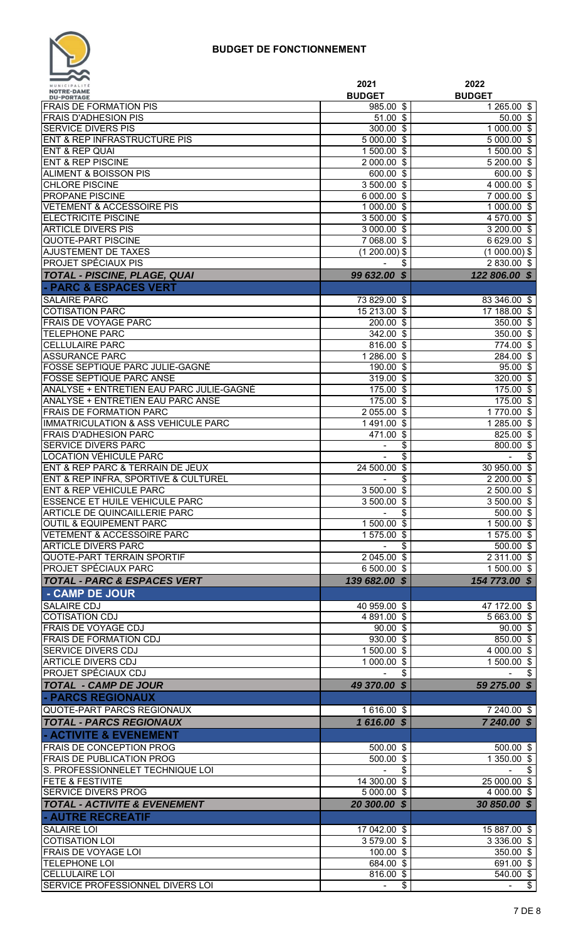

| MUNICIPALITÉ<br><b>NOTRE-DAME</b>                                    | 2021                                      | 2022                        |
|----------------------------------------------------------------------|-------------------------------------------|-----------------------------|
| <b>DU-PORTAGE</b>                                                    | <b>BUDGET</b>                             | <b>BUDGET</b>               |
| <b>FRAIS DE FORMATION PIS</b>                                        | 985.00 \$                                 | 1 265.00 \$                 |
| <b>FRAIS D'ADHESION PIS</b>                                          | 51.00 \$                                  | $50.00$ \$                  |
| <b>SERVICE DIVERS PIS</b><br><b>ENT &amp; REP INFRASTRUCTURE PIS</b> | 300.00 \$<br>$\overline{5000.00}$ \$      | 1 000.00 \$                 |
| <b>ENT &amp; REP QUAI</b>                                            | 1 500.00 \$                               | 5 000.00 \$<br>1 500.00 \$  |
| <b>ENT &amp; REP PISCINE</b>                                         | 2 000.00 \$                               | 5 200.00 \$                 |
| <b>ALIMENT &amp; BOISSON PIS</b>                                     | 600.00 \$                                 | 600.00 \$                   |
| <b>CHLORE PISCINE</b>                                                | $3500.00$ \$                              | 4 000.00 \$                 |
| <b>PROPANE PISCINE</b>                                               | 6 000.00 \$                               | 7 000.00 \$                 |
| <b>VETEMENT &amp; ACCESSOIRE PIS</b>                                 | 1 000.00 \$                               | 1 000.00 \$                 |
| <b>ELECTRICITE PISCINE</b>                                           | 3500.00 \$                                | 4570.00 \$                  |
| <b>ARTICLE DIVERS PIS</b>                                            | 3 000.00 \$                               | 3 200.00 \$                 |
| <b>QUOTE-PART PISCINE</b>                                            | 7 068.00 \$                               | 6629.00 \$                  |
| <b>AJUSTEMENT DE TAXES</b>                                           | $(1200.00)$ \$                            | $(1000.00)$ \$              |
| <b>PROJET SPÉCIAUX PIS</b>                                           | \$                                        | 2 830.00 \$                 |
| <b>TOTAL - PISCINE, PLAGE, QUAI</b>                                  | 99 632.00 \$                              | 122 806.00 \$               |
| - PARC & ESPACES VERT                                                |                                           |                             |
| <b>SALAIRE PARC</b>                                                  | 73 829.00 \$                              | 83 346.00 \$                |
| <b>COTISATION PARC</b>                                               | 15 213.00 \$                              | $17188.00$ \$               |
| <b>FRAIS DE VOYAGE PARC</b>                                          | 200.00 \$                                 | 350.00 \$                   |
| <b>TELEPHONE PARC</b>                                                | $342.00$ \$                               | 350.00 \$                   |
| <b>CELLULAIRE PARC</b>                                               | $\overline{816.00}$ \$                    | $\overline{774.00}$ \$      |
| <b>ASSURANCE PARC</b>                                                | 1 286.00 \$                               | $284.00$ \$                 |
| FOSSE SEPTIQUE PARC JULIE-GAGNÉ                                      | 190.00 \$                                 | $\overline{95.00}$ \$       |
| <b>FOSSE SEPTIQUE PARC ANSE</b>                                      | 319.00 \$                                 | $\overline{320.00}$ \$      |
| ANALYSE + ENTRETIEN EAU PARC JULIE-GAGNÉ                             | $\overline{175.00}$ \$                    | $175.00$ \$                 |
| ANALYSE + ENTRETIEN EAU PARC ANSE                                    | $175.00$ \$                               | $175.00$ \$                 |
| <b>FRAIS DE FORMATION PARC</b>                                       | 2 055.00 \$                               | $\overline{1770.00}$ \$     |
| <b>IMMATRICULATION &amp; ASS VEHICULE PARC</b>                       | 1491.00 \$                                | $1285.00$ \$                |
| <b>FRAIS D'ADHESION PARC</b>                                         | 471.00 \$                                 | $825.00$ \$                 |
| <b>SERVICE DIVERS PARC</b>                                           | \$                                        | 800.00 \$                   |
| <b>LOCATION VÉHICULE PARC</b><br>ENT & REP PARC & TERRAIN DE JEUX    | \$                                        | \$                          |
| ENT & REP INFRA, SPORTIVE & CULTUREL                                 | $\boldsymbol{\hat{\varphi}}$<br>24 500.00 | 30 950.00 \$<br>2 200.00 \$ |
| <b>ENT &amp; REP VEHICULE PARC</b>                                   | \$<br>3 500.00 \$                         | 2 500.00 \$                 |
| <b>ESSENCE ET HUILE VEHICULE PARC</b>                                | $3500.00$ \$                              | $3500.00$ \$                |
| <b>ARTICLE DE QUINCAILLERIE PARC</b>                                 | \$                                        | $\overline{500.00}$ \$      |
| <b>OUTIL &amp; EQUIPEMENT PARC</b>                                   | 1500.00 \$                                | $1500.00$ \$                |
| <b>VETEMENT &amp; ACCESSOIRE PARC</b>                                | 1575.00 \$                                | $1575.00$ \$                |
| <b>ARTICLE DIVERS PARC</b>                                           | \$                                        | 500.00 \$                   |
| <b>QUOTE-PART TERRAIN SPORTIF</b>                                    | 2 045.00 \$                               | 2 311.00 \$                 |
| <b>PROJET SPÉCIAUX PARC</b>                                          | 6 500.00 \$                               | 1 500.00 \$                 |
| <b>TOTAL - PARC &amp; ESPACES VERT</b>                               | 139 682.00 \$                             | 154 773.00 \$               |
| - CAMP DE JOUR                                                       |                                           |                             |
| <b>SALAIRE CDJ</b>                                                   | 40 959.00 \$                              | 47 172.00 \$                |
| <b>COTISATION CDJ</b>                                                | 4891.00 \$                                | 5 663.00 \$                 |
| <b>FRAIS DE VOYAGE CDJ</b>                                           | $90.00$ \$                                | $90.00$ \$                  |
| <b>FRAIS DE FORMATION CDJ</b>                                        | 930.00 \$                                 | 850.00 \$                   |
| <b>SERVICE DIVERS CDJ</b>                                            | 1 500.00 \$                               | $4000.00$ \$                |
| <b>ARTICLE DIVERS CDJ</b>                                            | 1 000.00 \$                               | 1 500.00 \$                 |
| <b>PROJET SPÉCIAUX CDJ</b>                                           | \$                                        | \$                          |
| <b>TOTAL - CAMP DE JOUR</b>                                          | 49 370.00 \$                              | 59 275.00 \$                |
| - PARCS REGIONAUX                                                    |                                           |                             |
| <b>QUOTE-PART PARCS REGIONAUX</b>                                    | 1616.00 \$                                | 7 240.00 \$                 |
| <b>TOTAL - PARCS REGIONAUX</b>                                       | 1616.00 \$                                | 7 240.00 \$                 |
| - ACTIVITE & EVENEMENT                                               |                                           |                             |
| <b>FRAIS DE CONCEPTION PROG</b>                                      | 500.00 \$                                 | $500.00$ \$                 |
| <b>FRAIS DE PUBLICATION PROG</b>                                     | 500.00 \$                                 | $\overline{1}$ 350.00 \$    |
| S. PROFESSIONNELET TECHNIQUE LOI                                     | \$                                        | \$                          |
| <b>FETE &amp; FESTIVITE</b>                                          | 14 300.00 \$                              | 25 000.00 \$                |
| <b>SERVICE DIVERS PROG</b>                                           | 5 000.00 \$                               | 4 000.00 \$                 |
| <b>TOTAL - ACTIVITE &amp; EVENEMENT</b>                              | 20 300.00 \$                              | 30 850.00 \$                |
| - AUTRE RECREATIF                                                    |                                           |                             |
| <b>SALAIRE LOI</b>                                                   | 17 042.00 \$                              | 15 887.00 \$                |
| <b>COTISATION LOI</b>                                                | 3579.00 \$                                | 3 3 3 6 .00 \$              |
| <b>FRAIS DE VOYAGE LOI</b>                                           | 100.00 \$                                 | 350.00 \$                   |
| <b>TELEPHONE LOI</b>                                                 | 684.00 \$                                 | 691.00 \$                   |
| <b>CELLULAIRE LOI</b>                                                | 816.00 \$                                 | 540.00 \$                   |
| SERVICE PROFESSIONNEL DIVERS LOI                                     | \$                                        | \$                          |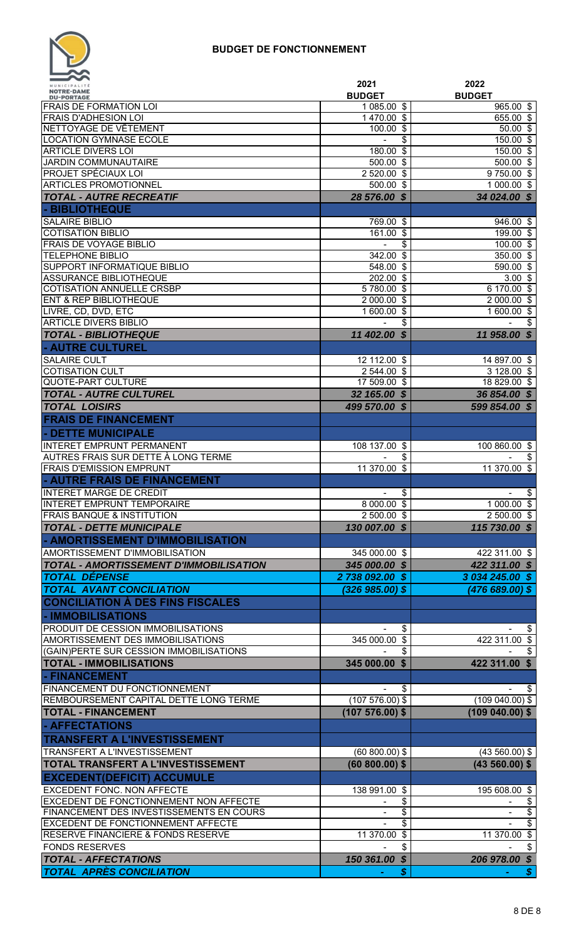

| MUNICIPALITÉ                                                            | 2021                                | 2022                                                           |
|-------------------------------------------------------------------------|-------------------------------------|----------------------------------------------------------------|
| <b>NOTRE-DAME</b><br><b>DU-PORTAGE</b>                                  | <b>BUDGET</b>                       | <b>BUDGET</b>                                                  |
| <b>FRAIS DE FORMATION LOI</b>                                           | 1 085.00 \$                         | 965.00 \$                                                      |
| <b>FRAIS D'ADHESION LOI</b>                                             | $\overline{1470.00}$ \$             | 655.00 \$                                                      |
| NETTOYAGE DE VÊTEMENT                                                   | 100.00 \$                           | $50.00$ \$                                                     |
| <b>LOCATION GYMNASE ECOLE</b>                                           | \$                                  | 150.00 \$                                                      |
| <b>ARTICLE DIVERS LOI</b>                                               | 180.00 \$                           | 150.00 \$                                                      |
| <b>JARDIN COMMUNAUTAIRE</b>                                             | 500.00 \$                           | 500.00 \$                                                      |
| <b>PROJET SPÉCIAUX LOI</b>                                              | 2 520.00 \$                         | 9750.00 \$                                                     |
| <b>ARTICLES PROMOTIONNEL</b>                                            | 500.00 \$                           | 1 000.00 \$                                                    |
| <b>TOTAL - AUTRE RECREATIF</b>                                          | 28 576.00 \$                        | 34 024,00 \$                                                   |
| - BIBLIOTHEQUE                                                          |                                     |                                                                |
| <b>SALAIRE BIBLIO</b>                                                   | 769.00 \$                           | 946.00 \$                                                      |
| <b>COTISATION BIBLIO</b>                                                | 161.00 \$                           | $199.00$ \$                                                    |
| <b>FRAIS DE VOYAGE BIBLIO</b>                                           | \$                                  | $\overline{100.00}$ \$                                         |
| <b>TELEPHONE BIBLIO</b>                                                 | 342.00 \$                           | 350.00 \$                                                      |
| SUPPORT INFORMATIQUE BIBLIO<br><b>ASSURANCE BIBLIOTHEQUE</b>            | 548.00 \$<br>202.00 \$              | 590.00 \$<br>3.00~\$                                           |
| <b>COTISATION ANNUELLE CRSBP</b>                                        | $\overline{5780.00}$ \$             | 6 170.00 \$                                                    |
| <b>ENT &amp; REP BIBLIOTHEQUE</b>                                       | $2000.00$ \$                        | $2000.00$ \$                                                   |
| LIVRE, CD, DVD, ETC                                                     | $1600.00$ \$                        | 1600.00 \$                                                     |
| <b>ARTICLE DIVERS BIBLIO</b>                                            | \$                                  | \$                                                             |
| <b>TOTAL - BIBLIOTHEQUE</b>                                             | 11 402.00 \$                        | 11 958.00 \$                                                   |
| - AUTRE CULTUREL                                                        |                                     |                                                                |
| <b>SALAIRE CULT</b>                                                     | 12 112.00 \$                        | 14 897.00 \$                                                   |
| <b>COTISATION CULT</b>                                                  | 2 544.00 \$                         | 3 128.00 \$                                                    |
| <b>QUOTE-PART CULTURE</b>                                               | 17 509.00 \$                        | 18 829.00 \$                                                   |
| <b>TOTAL - AUTRE CULTUREL</b>                                           | 32 165.00 \$                        | 36 854.00 \$                                                   |
| <b>TOTAL LOISIRS</b>                                                    | 499 570.00 \$                       | 599 854.00 \$                                                  |
| <b>FRAIS DE FINANCEMENT</b>                                             |                                     |                                                                |
|                                                                         |                                     |                                                                |
| - DETTE MUNICIPALE                                                      |                                     |                                                                |
| <b>INTERET EMPRUNT PERMANENT</b><br>AUTRES FRAIS SUR DETTE À LONG TERME | 108 137.00 \$                       | 100 860.00 \$                                                  |
| <b>FRAIS D'EMISSION EMPRUNT</b>                                         | \$<br>11 370.00 \$                  | \$<br>11 370.00 \$                                             |
| - AUTRE FRAIS DE FINANCEMENT                                            |                                     |                                                                |
|                                                                         |                                     |                                                                |
| <b>INTERET MARGE DE CREDIT</b><br><b>INTERET EMPRUNT TEMPORAIRE</b>     | \$<br>$\blacksquare$<br>8 000.00 \$ | \$<br>1 000.00 \$                                              |
| <b>FRAIS BANQUE &amp; INSTITUTION</b>                                   | $2500.00$ \$                        | $2,500.00$ \$                                                  |
| <b>TOTAL - DETTE MUNICIPALE</b>                                         | 130 007.00 \$                       | 115 730.00 \$                                                  |
| - AMORTISSEMENT D'IMMOBILISATION                                        |                                     |                                                                |
| AMORTISSEMENT D'IMMOBILISATION                                          | 345 000.00 \$                       |                                                                |
|                                                                         |                                     | 422 311.00 \$                                                  |
| <b>TOTAL - AMORTISSEMENT D'IMMOBILISATION</b><br><b>TOTAL DÉPENSE</b>   | 345 000.00 \$                       | 422 311.00 \$                                                  |
|                                                                         | 2738092.00\$                        | 3 034 245.00 \$                                                |
| <b>TOTAL AVANT CONCILIATION</b>                                         | (326 985.00) \$                     | (476 689.00) \$                                                |
| <b>CONCILIATION À DES FINS FISCALES</b>                                 |                                     |                                                                |
| - IMMOBILISATIONS                                                       |                                     |                                                                |
| PRODUIT DE CESSION IMMOBILISATIONS                                      | \$                                  | \$                                                             |
| AMORTISSEMENT DES IMMOBILISATIONS                                       | 345 000.00 \$                       | 422 311.00 \$                                                  |
| (GAIN)PERTE SUR CESSION IMMOBILISATIONS                                 | \$                                  | $\mathfrak{S}$                                                 |
| <b>TOTAL - IMMOBILISATIONS</b>                                          | 345 000.00 \$                       | 422 311.00 \$                                                  |
| - FINANCEMENT                                                           |                                     |                                                                |
| FINANCEMENT DU FONCTIONNEMENT                                           | \$                                  | \$                                                             |
| REMBOURSEMENT CAPITAL DETTE LONG TERME                                  | $(107576.00)$ \$                    | $(109040.00)$ \$                                               |
| <b>TOTAL - FINANCEMENT</b>                                              | $(107576.00)$ \$                    | $(109040.00)$ \$                                               |
| - AFFECTATIONS                                                          |                                     |                                                                |
| <b>TRANSFERT A L'INVESTISSEMENT</b>                                     |                                     |                                                                |
| <b>TRANSFERT A L'INVESTISSEMENT</b>                                     | $(60 800.00)$ \$                    | $(43560.00)$ \$                                                |
| TOTAL TRANSFERT A L'INVESTISSEMENT                                      | $(60 800.00)$ \$                    | $(43560.00)$ \$                                                |
| <b>EXCEDENT(DEFICIT) ACCUMULE</b>                                       |                                     |                                                                |
| <b>EXCEDENT FONC. NON AFFECTE</b>                                       | 138 991.00 \$                       | 195 608.00 \$                                                  |
| EXCEDENT DE FONCTIONNEMENT NON AFFECTE                                  | \$                                  | \$                                                             |
| FINANCEMENT DES INVESTISSEMENTS EN COURS                                | \$<br>$\overline{\phantom{a}}$      | $\overline{\boldsymbol{\epsilon}}$<br>$\overline{\phantom{a}}$ |
| EXCEDENT DE FONCTIONNEMENT AFFECTE                                      | \$                                  | $\overline{\boldsymbol{\theta}}$                               |
| <b>RESERVE FINANCIERE &amp; FONDS RESERVE</b>                           | 11 370.00 \$                        | 11 370.00 \$                                                   |
| <b>FONDS RESERVES</b>                                                   | \$                                  | \$                                                             |
| <b>TOTAL - AFFECTATIONS</b>                                             | 150 361.00 \$                       | 206 978.00 \$                                                  |
| <b>TOTAL APRÈS CONCILIATION</b>                                         | \$                                  | $\boldsymbol{\mathsf{S}}$                                      |